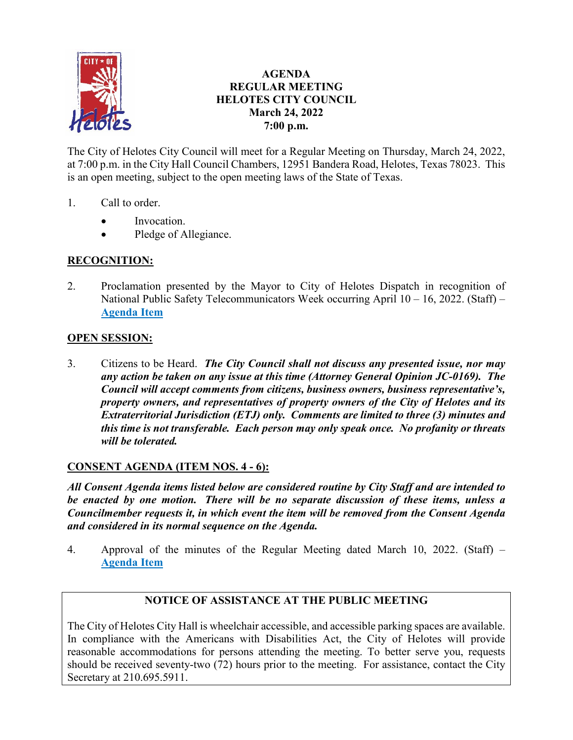

## **AGENDA REGULAR MEETING HELOTES CITY COUNCIL March 24, 2022 7:00 p.m.**

The City of Helotes City Council will meet for a Regular Meeting on Thursday, March 24, 2022, at 7:00 p.m. in the City Hall Council Chambers, 12951 Bandera Road, Helotes, Texas 78023. This is an open meeting, subject to the open meeting laws of the State of Texas.

- 1. Call to order.
	- Invocation.
	- Pledge of Allegiance.

# **RECOGNITION:**

2. Proclamation presented by the Mayor to City of Helotes Dispatch in recognition of National Public Safety Telecommunicators Week occurring April 10 – 16, 2022. (Staff) – **[Agenda Item](https://helotes-tx.gov/wp-content/uploads/2022/03/2-Dispatch.pdf)** 

## **OPEN SESSION:**

3. Citizens to be Heard. *The City Council shall not discuss any presented issue, nor may any action be taken on any issue at this time (Attorney General Opinion JC-0169). The Council will accept comments from citizens, business owners, business representative's, property owners, and representatives of property owners of the City of Helotes and its Extraterritorial Jurisdiction (ETJ) only. Comments are limited to three (3) minutes and this time is not transferable. Each person may only speak once. No profanity or threats will be tolerated.*

## **CONSENT AGENDA (ITEM NOS. 4 - 6):**

*All Consent Agenda items listed below are considered routine by City Staff and are intended to be enacted by one motion. There will be no separate discussion of these items, unless a Councilmember requests it, in which event the item will be removed from the Consent Agenda and considered in its normal sequence on the Agenda.* 

4. Approval of the minutes of the Regular Meeting dated March 10, 2022. (Staff) – **[Agenda Item](https://helotes-tx.gov/wp-content/uploads/2022/03/4-Minutes-1.pdf)** 

## **NOTICE OF ASSISTANCE AT THE PUBLIC MEETING**

The City of Helotes City Hall is wheelchair accessible, and accessible parking spaces are available. In compliance with the Americans with Disabilities Act, the City of Helotes will provide reasonable accommodations for persons attending the meeting. To better serve you, requests should be received seventy-two (72) hours prior to the meeting. For assistance, contact the City Secretary at 210.695.5911.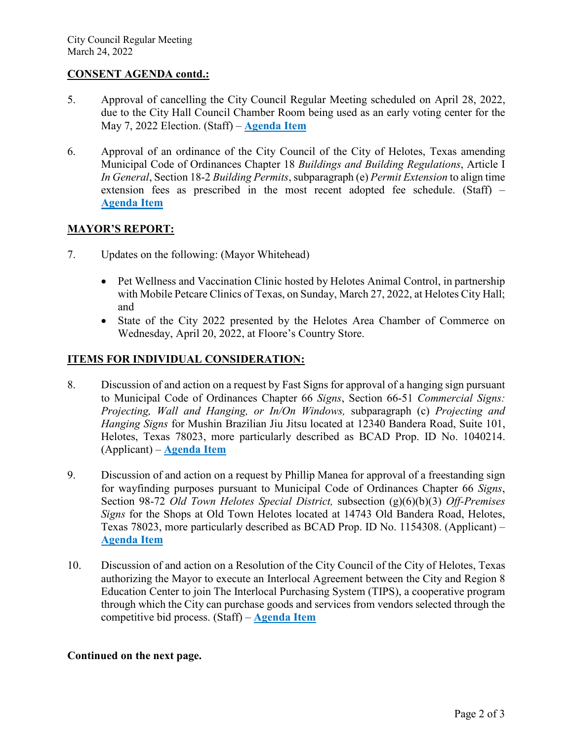### **CONSENT AGENDA contd.:**

- 5. Approval of cancelling the City Council Regular Meeting scheduled on April 28, 2022, due to the City Hall Council Chamber Room being used as an early voting center for the May 7, 2022 Election. (Staff) – **[Agenda Item](https://helotes-tx.gov/wp-content/uploads/2022/03/5-Meeting-Cancel.pdf)**
- 6. Approval of an ordinance of the City Council of the City of Helotes, Texas amending Municipal Code of Ordinances Chapter 18 *Buildings and Building Regulations*, Article I *In General*, Section 18-2 *Building Permits*, subparagraph (e) *Permit Extension* to align time extension fees as prescribed in the most recent adopted fee schedule. (Staff) – **[Agenda Item](https://helotes-tx.gov/wp-content/uploads/2022/03/6-Permit-Extension.pdf)**

### **MAYOR'S REPORT:**

- 7. Updates on the following: (Mayor Whitehead)
	- Pet Wellness and Vaccination Clinic hosted by Helotes Animal Control, in partnership with Mobile Petcare Clinics of Texas, on Sunday, March 27, 2022, at Helotes City Hall; and
	- State of the City 2022 presented by the Helotes Area Chamber of Commerce on Wednesday, April 20, 2022, at Floore's Country Store.

### **ITEMS FOR INDIVIDUAL CONSIDERATION:**

- 8. Discussion of and action on a request by Fast Signs for approval of a hanging sign pursuant to Municipal Code of Ordinances Chapter 66 *Signs*, Section 66-51 *Commercial Signs: Projecting, Wall and Hanging, or In/On Windows,* subparagraph (c) *Projecting and Hanging Signs* for Mushin Brazilian Jiu Jitsu located at 12340 Bandera Road, Suite 101, Helotes, Texas 78023, more particularly described as BCAD Prop. ID No. 1040214. (Applicant) – **[Agenda Item](https://helotes-tx.gov/wp-content/uploads/2022/03/8-Jiu-Jitsu-Sign.pdf)**
- 9. Discussion of and action on a request by Phillip Manea for approval of a freestanding sign for wayfinding purposes pursuant to Municipal Code of Ordinances Chapter 66 *Signs*, Section 98-72 *Old Town Helotes Special District,* subsection (g)(6)(b)(3) *Off-Premises Signs* for the Shops at Old Town Helotes located at 14743 Old Bandera Road, Helotes, Texas 78023, more particularly described as BCAD Prop. ID No. 1154308. (Applicant) – **[Agenda Item](https://helotes-tx.gov/wp-content/uploads/2022/03/9-Shops-at-OTH-Sign.pdf)**
- 10. Discussion of and action on a Resolution of the City Council of the City of Helotes, Texas authorizing the Mayor to execute an Interlocal Agreement between the City and Region 8 Education Center to join The Interlocal Purchasing System (TIPS), a cooperative program through which the City can purchase goods and services from vendors selected through the competitive bid process. (Staff) – **[Agenda Item](https://helotes-tx.gov/wp-content/uploads/2022/03/10-TIPS.pdf)**

### **Continued on the next page.**